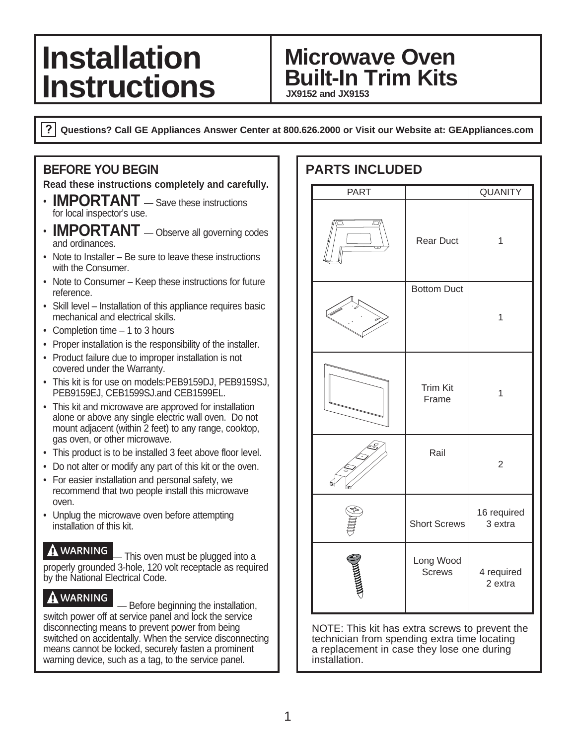# **Installation Microwave Oven Instructions**

**JX9152 and JX9153**

 $\overline{?}$ **Questions? Call GE Appliances Answer Center at 800.626.2000 or Visit our Website at: GEAppliances.com**

## **BEFORE YOU BEGIN**

**Read these instructions completely and carefully.**

- **IMPORTANT** Save these instructions for local inspector's use.
- **IMPORTANT** Observe all governing codes and ordinances.
- Note to Installer Be sure to leave these instructions with the Consumer.
- Note to Consumer Keep these instructions for future reference.
- Skill level Installation of this appliance requires basic mechanical and electrical skills.
- Completion time 1 to 3 hours
- Proper installation is the responsibility of the installer.
- Product failure due to improper installation is not covered under the Warranty.
- This kit is for use on models:PEB9159DJ, PEB9159SJ, PEB9159EJ, CEB1599SJ.and CEB1599EL.
- This kit and microwave are approved for installation alone or above any single electric wall oven. Do not mount adjacent (within 2 feet) to any range, cooktop, gas oven, or other microwave.
- This product is to be installed 3 feet above floor level.
- Do not alter or modify any part of this kit or the oven.
- For easier installation and personal safety, we recommend that two people install this microwave oven.
- Unplug the microwave oven before attempting installation of this kit.

**WARNING** — This oven must be plugged into a properly grounded 3-hole, 120 volt receptacle as required by the National Electrical Code.

**WARNING** — Before beginning the installation, switch power off at service panel and lock the service disconnecting means to prevent power from being switched on accidentally. When the service disconnecting means cannot be locked, securely fasten a prominent warning device, such as a tag, to the service panel.

| <b>PARTS INCLUDED</b> |                            |                        |  |  |  |  |
|-----------------------|----------------------------|------------------------|--|--|--|--|
| <b>PART</b>           |                            | <b>QUANITY</b>         |  |  |  |  |
| D                     | <b>Rear Duct</b>           | 1                      |  |  |  |  |
|                       | <b>Bottom Duct</b>         | 1                      |  |  |  |  |
|                       | <b>Trim Kit</b><br>Frame   | 1                      |  |  |  |  |
|                       | Rail                       | $\overline{2}$         |  |  |  |  |
|                       | <b>Short Screws</b>        | 16 required<br>3 extra |  |  |  |  |
|                       | Long Wood<br><b>Screws</b> | 4 required<br>2 extra  |  |  |  |  |

NOTE: This kit has extra screws to prevent the technician from spending extra time locating a replacement in case they lose one during installation.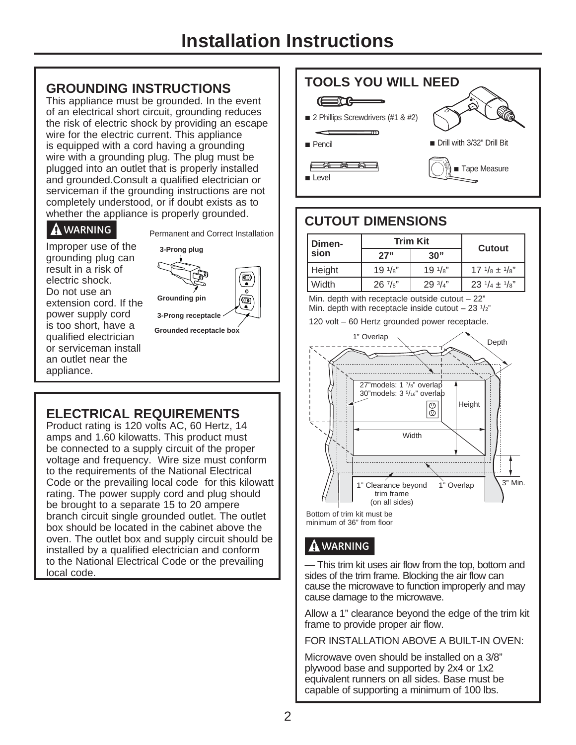# **GROUNDING INSTRUCTIONS**

This appliance must be grounded. In the event of an electrical short circuit, grounding reduces the risk of electric shock by providing an escape wire for the electric current. This appliance is equipped with a cord having a grounding wire with a grounding plug. The plug must be plugged into an outlet that is properly installed and grounded.Consult a qualified electrician or serviceman if the grounding instructions are not completely understood, or if doubt exists as to whether the appliance is properly grounded.

# **WARNING**

Improper use of the grounding plug can result in a risk of electric shock. Do not use an extension cord. If the power supply cord is too short, have a qualified electrician or serviceman install an outlet near the appliance.

Permanent and Correct Installation



# **ELECTRICAL REQUIREMENTS**

Product rating is 120 volts AC, 60 Hertz, 14 amps and 1.60 kilowatts. This product must be connected to a supply circuit of the proper voltage and frequency. Wire size must conform to the requirements of the National Electrical Code or the prevailing local code for this kilowatt rating. The power supply cord and plug should be brought to a separate 15 to 20 ampere branch circuit single grounded outlet. The outlet box should be located in the cabinet above the oven. The outlet box and supply circuit should be installed by a qualified electrician and conform to the National Electrical Code or the prevailing local code.



# **CUTOUT DIMENSIONS**

| Dimen- |        | <b>Trim Kit</b> |                   |                                  |
|--------|--------|-----------------|-------------------|----------------------------------|
|        | sion   | 27"             | 30"               | Cutout                           |
|        | Height | $19^{1/s}$      | $19^{1/s}$        | $17 \frac{1}{8} \pm \frac{1}{8}$ |
|        | Width  | $26\frac{7}{8}$ | $29\frac{3}{4}$ " | $23 \frac{1}{4} \pm \frac{1}{8}$ |

Min. depth with receptacle outside cutout  $-22$ " Min. depth with receptacle inside cutout  $-23$   $1/z$ "

120 volt – 60 Hertz grounded power receptacle.



minimum of 36" from floor

# **WARNING**

— This trim kit uses air flow from the top, bottom and sides of the trim frame. Blocking the air flow can cause the microwave to function improperly and may cause damage to the microwave.

Allow a 1" clearance beyond the edge of the trim kit frame to provide proper air flow.

FOR INSTALLATION ABOVE A BUILT-IN OVEN:

Microwave oven should be installed on a 3/8" plywood base and supported by 2x4 or 1x2 equivalent runners on all sides. Base must be capable of supporting a minimum of 100 lbs.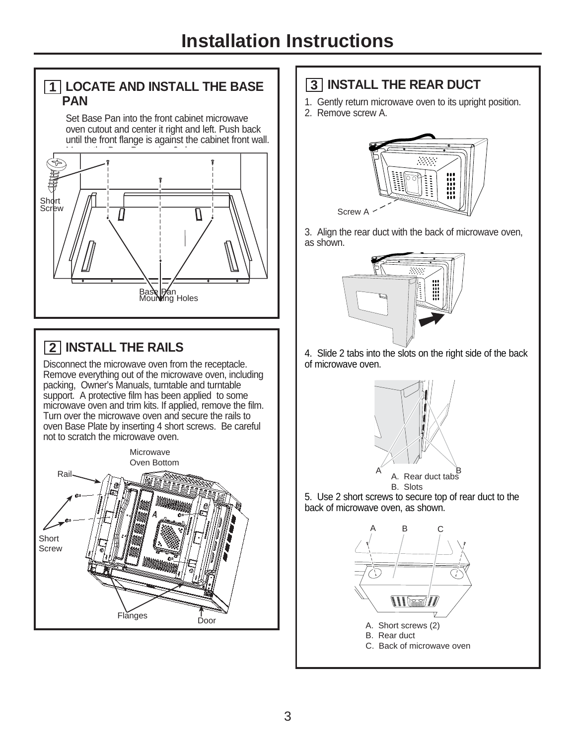## **1 LOCATE AND INSTALL THE BASE PAN**

Set Base Pan into the front cabinet microwave oven cutout and center it right and left. Push back until the front flange is against the cabinet front wall.



# **2 INSTALL THE RAILS**

Disconnect the microwave oven from the receptacle. Remove everything out of the microwave oven, including packing, Owner's Manuals, turntable and turntable support. A protective film has been applied to some microwave oven and trim kits. If applied, remove the film. Turn over the microwave oven and secure the rails to oven Base Plate by inserting 4 short screws. Be careful not to scratch the microwave oven.



# **3 INSTALL THE REAR DUCT**

- 1. Gently return microwave oven to its upright position.
- 2. Remove screw A.



3. Align the rear duct with the back of microwave oven, as shown.



4. Slide 2 tabs into the slots on the right side of the back of microwave oven.



5. Use 2 short screws to secure top of rear duct to the back of microwave oven, as shown.

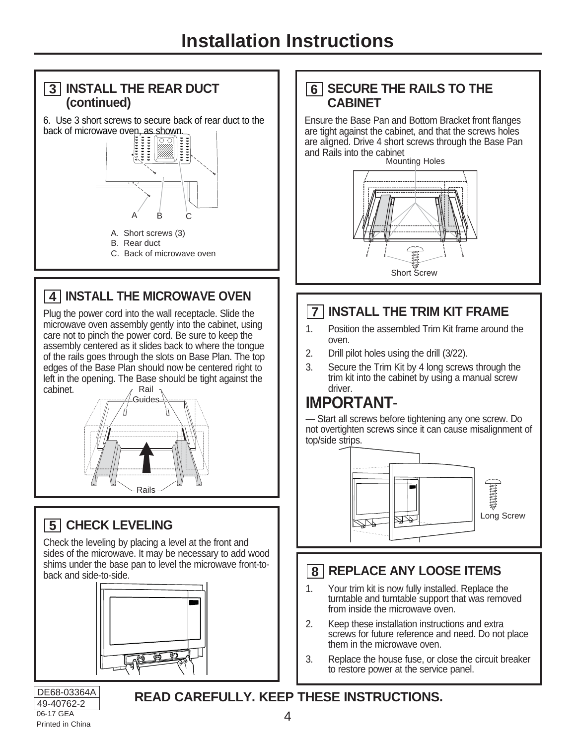## **3 INSTALL THE REAR DUCT (continued)**

6. Use 3 short screws to secure back of rear duct to the back of microwave oven, as shown.



- B. Rear duct
- C. Back of microwave oven

# **4 INSTALL THE MICROWAVE OVEN**

Plug the power cord into the wall receptacle. Slide the microwave oven assembly gently into the cabinet, using care not to pinch the power cord. Be sure to keep the assembly centered as it slides back to where the tongue of the rails goes through the slots on Base Plan. The top edges of the Base Plan should now be centered right to left in the opening. The Base should be tight against the cabinet. Rail



# **5 CHECK LEVELING**

Check the leveling by placing a level at the front and sides of the microwave. It may be necessary to add wood shims under the base pan to level the microwave front-toback and side-to-side.



DE68-03364A 49-40762-2

### 06-17 GEA Printed in China

## **6 SECURE THE RAILS TO THE CABINET**

Ensure the Base Pan and Bottom Bracket front flanges are tight against the cabinet, and that the screws holes are aligned. Drive 4 short screws through the Base Pan and Rails into the cabinet



# **7 INSTALL THE TRIM KIT FRAME**

- 1. Position the assembled Trim Kit frame around the oven.
- 2. Drill pilot holes using the drill (3/22).
- 3. Secure the Trim Kit by 4 long screws through the trim kit into the cabinet by using a manual screw driver.

# **IMPORTANT**-

— Start all screws before tightening any one screw. Do not overtighten screws since it can cause misalignment of top/side strips.



# **8 REPLACE ANY LOOSE ITEMS**

- 1. Your trim kit is now fully installed. Replace the turntable and turntable support that was removed from inside the microwave oven.
- 2. Keep these installation instructions and extra screws for future reference and need. Do not place them in the microwave oven.
- 3. Replace the house fuse, or close the circuit breaker to restore power at the service panel.

# **READ CAREFULLY. KEEP THESE INSTRUCTIONS.**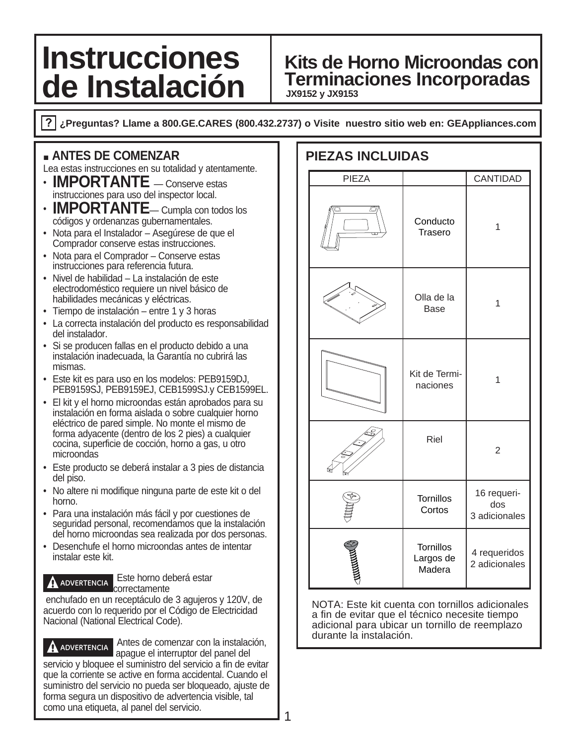# **de Instalación**

# **Instrucciones** Kits de Horno Microondas con

**JX9152 y JX9153**

**¿Preguntas? Llame a 800.GE.CARES (800.432.2737) o Visite nuestro sitio web en: GEAppliances.com**

## **ANTES DE COMENZAR**

Lea estas instrucciones en su totalidad y atentamente.

- **IMPORTANTE** Conserve estas instrucciones para uso del inspector local.
- **IMPORTANTE** Cumpla con todos los códigos y ordenanzas gubernamentales.
- Nota para el Instalador Asegúrese de que el Comprador conserve estas instrucciones.
- Nota para el Comprador Conserve estas instrucciones para referencia futura.
- Nivel de habilidad La instalación de este electrodoméstico requiere un nivel básico de habilidades mecánicas y eléctricas.
- Tiempo de instalación entre 1 y 3 horas
- La correcta instalación del producto es responsabilidad del instalador.
- Si se producen fallas en el producto debido a una instalación inadecuada, la Garantía no cubrirá las mismas.
- Este kit es para uso en los modelos: PEB9159DJ, PEB9159SJ, PEB9159EJ, CEB1599SJ.y CEB1599EL.
- El kit y el horno microondas están aprobados para su instalación en forma aislada o sobre cualquier horno eléctrico de pared simple. No monte el mismo de forma adyacente (dentro de los 2 pies) a cualquier cocina, superficie de cocción, horno a gas, u otro microondas
- Este producto se deberá instalar a 3 pies de distancia del piso.
- No altere ni modifique ninguna parte de este kit o del horno.
- Para una instalación más fácil y por cuestiones de seguridad personal, recomendamos que la instalación del horno microondas sea realizada por dos personas.
- Desenchufe el horno microondas antes de intentar instalar este kit.

**A ADVERTENCIA** Este horno deberá estar correctamente

 enchufado en un receptáculo de 3 agujeros y 120V, de acuerdo con lo requerido por el Código de Electricidad Nacional (National Electrical Code).

**ADVERTENCIA** Antes de comenzar con la instalación, apague el interruptor del panel del

servicio y bloquee el suministro del servicio a fin de evitar que la corriente se active en forma accidental. Cuando el suministro del servicio no pueda ser bloqueado, ajuste de forma segura un dispositivo de advertencia visible, tal como una etiqueta, al panel del servicio.

# **PIEZAS INCLUIDAS**



NOTA: Este kit cuenta con tornillos adicionales a fin de evitar que el técnico necesite tiempo adicional para ubicar un tornillo de reemplazo durante la instalación.

1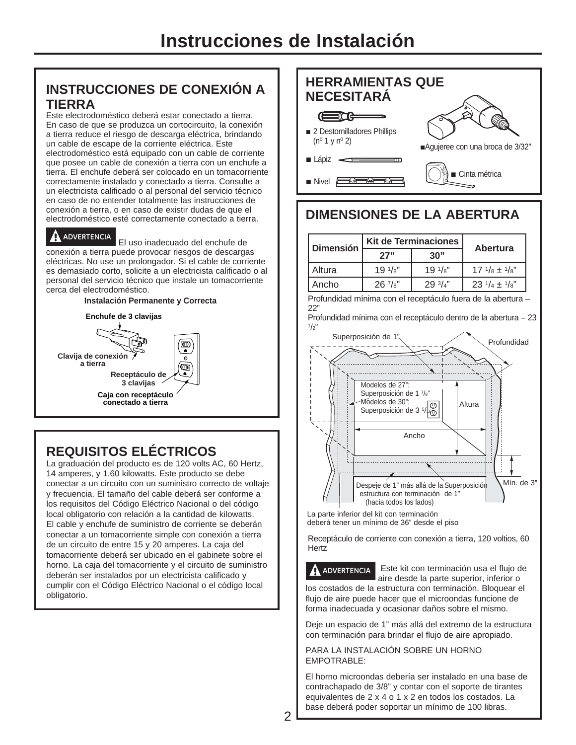# **INSTRUCCIONES DE CONEXIÓN A TIERRA**

Este electrodoméstico deberá estar conectado a tierra. En caso de que se produzca un cortocircuito, la conexión a tierra reduce el riesgo de descarga eléctrica, brindando un cable de escape de la corriente eléctrica. Este electrodoméstico está equipado con un cable de corriente que posee un cable de conexión a tierra con un enchufe a tierra. El enchufe deberá ser colocado en un tomacorriente correctamente instalado y conectado a tierra. Consulte a un electricista calificado o al personal del servicio técnico en caso de no entender totalmente las instrucciones de conexión a tierra, o en caso de existir dudas de que el electrodoméstico esté correctamente conectado a tierra.

**ADVERTENCIA** El uso inadecuado del enchufe de conexión a tierra puede provocar riesgos de descargas eléctricas. No use un prolongador. Si el cable de corriente es demasiado corto, solicite a un electricista calificado o al personal del servicio técnico que instale un tomacorriente cerca del electrodoméstico.

### **Instalación Permanente y Correcta**



# **REQUISITOS ELÉCTRICOS**

La graduación del producto es de 120 volts AC, 60 Hertz, 14 amperes, y 1.60 kilowatts. Este producto se debe conectar a un circuito con un suministro correcto de voltaje y frecuencia. El tamaño del cable deberá ser conforme a los requisitos del Código Eléctrico Nacional o del código local obligatorio con relación a la cantidad de kilowatts. El cable y enchufe de suministro de corriente se deberán conectar a un tomacorriente simple con conexión a tierra de un circuito de entre 15 y 20 amperes. La caja del tomacorriente deberá ser ubicado en el gabinete sobre el horno. La caja del tomacorriente y el circuito de suministro deberán ser instalados por un electricista calificado y cumplir con el Código Eléctrico Nacional o el código local obligatorio.



# **DIMENSIONES DE LA ABERTURA**

| <b>Dimensión</b> | <b>Kit de Terminaciones</b> |            | Abertura                         |
|------------------|-----------------------------|------------|----------------------------------|
|                  | 27"                         | 30"        |                                  |
| Altura           | $19^{1/s}$                  | $19^{1/s}$ | $17^{1}/_8 + 1/_8$ "             |
| Ancho            | $267\frac{s}{s}$            | 293/4"     | $23 \frac{1}{4} \pm \frac{1}{8}$ |

Profundidad mínima con el receptáculo fuera de la abertura –  $22"$ 

Profundidad mínima con el receptáculo dentro de la abertura – 23  $1/2"$ 



deberá tener un mínimo de 36" desde el piso

Receptáculo de corriente con conexión a tierra, 120 voltios, 60 Hertz

**ADVERTENCIA** Este kit con terminación usa el flujo de aire desde la parte superior, inferior o los costados de la estructura con terminación. Bloquear el flujo de aire puede hacer que el microondas funcione de forma inadecuada y ocasionar daños sobre el mismo.

Deje un espacio de 1" más allá del extremo de la estructura con terminación para brindar el flujo de aire apropiado.

PARA LA INSTALACIÓN SOBRE UN HORNO EMPOTRABLE:

El horno microondas debería ser instalado en una base de contrachapado de 3/8" y contar con el soporte de tirantes equivalentes de 2 x 4 o 1 x 2 en todos los costados. La base deberá poder soportar un mínimo de 100 libras.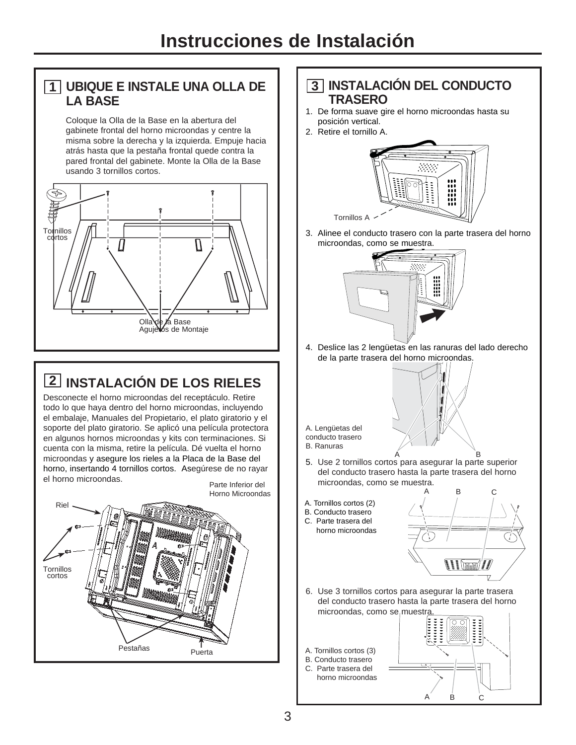## **1 UBIQUE E INSTALE UNA OLLA DE LA BASE**

Coloque la Olla de la Base en la abertura del gabinete frontal del horno microondas y centre la misma sobre la derecha y la izquierda. Empuje hacia atrás hasta que la pestaña frontal quede contra la pared frontal del gabinete. Monte la Olla de la Base usando 3 tornillos cortos.



# **2 INSTALACIÓN DE LOS RIELES**

Desconecte el horno microondas del receptáculo. Retire todo lo que haya dentro del horno microondas, incluyendo el embalaje, Manuales del Propietario, el plato giratorio y el soporte del plato giratorio. Se aplicó una película protectora en algunos hornos microondas y kits con terminaciones. Si cuenta con la misma, retire la película. Dé vuelta el horno microondas y asegure los rieles a la Placa de la Base del horno, insertando 4 tornillos cortos. Asegúrese de no rayar el horno microondas. Parte Inferior del

Riel

Horno Microondas



## **3 INSTALACIÓN DEL CONDUCTO TRASERO**

- 1. De forma suave gire el horno microondas hasta su posición vertical.
- 2. Retire el tornillo A.



3. Alinee el conducto trasero con la parte trasera del horno microondas, como se muestra.



4. Deslice las 2 lengüetas en las ranuras del lado derecho de la parte trasera del horno microondas.

A. Lengüetas del conducto trasero B. Ranuras

5. Use 2 tornillos cortos para asegurar la parte superior A B del conducto trasero hasta la parte trasera del horno microondas, como se muestra.

- A. Tornillos cortos (2)
- B. Conducto trasero
- C. Parte trasera del horno microondas



- 6. Use 3 tornillos cortos para asegurar la parte trasera del conducto trasero hasta la parte trasera del horno microondas, como se muestra
- A. Tornillos cortos (3)
- B. Conducto trasero C. Parte trasera del horno microondas